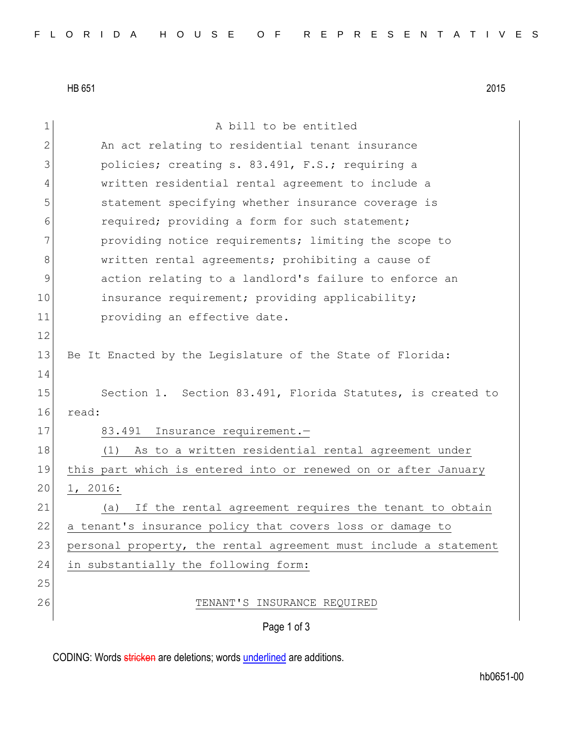HB 651 2015

| $\mathbf 1$ | A bill to be entitled                                            |
|-------------|------------------------------------------------------------------|
| 2           | An act relating to residential tenant insurance                  |
| 3           | policies; creating s. 83.491, F.S.; requiring a                  |
| 4           | written residential rental agreement to include a                |
| 5           | statement specifying whether insurance coverage is               |
| 6           | required; providing a form for such statement;                   |
| 7           | providing notice requirements; limiting the scope to             |
| 8           | written rental agreements; prohibiting a cause of                |
| 9           | action relating to a landlord's failure to enforce an            |
| 10          | insurance requirement; providing applicability;                  |
| 11          | providing an effective date.                                     |
| 12          |                                                                  |
| 13          | Be It Enacted by the Legislature of the State of Florida:        |
| 14          |                                                                  |
| 15          | Section 1. Section 83.491, Florida Statutes, is created to       |
| 16          | read:                                                            |
| 17          | Insurance requirement.-<br>83.491                                |
| 18          | As to a written residential rental agreement under<br>(1)        |
| 19          | this part which is entered into or renewed on or after January   |
| 20          | 1, 2016:                                                         |
| 21          | If the rental agreement requires the tenant to obtain<br>(a)     |
| 22          | a tenant's insurance policy that covers loss or damage to        |
| 23          | personal property, the rental agreement must include a statement |
| 24          | in substantially the following form:                             |
| 25          |                                                                  |
| 26          | TENANT'S INSURANCE REQUIRED                                      |
|             | Page 1 of 3                                                      |

CODING: Words stricken are deletions; words underlined are additions.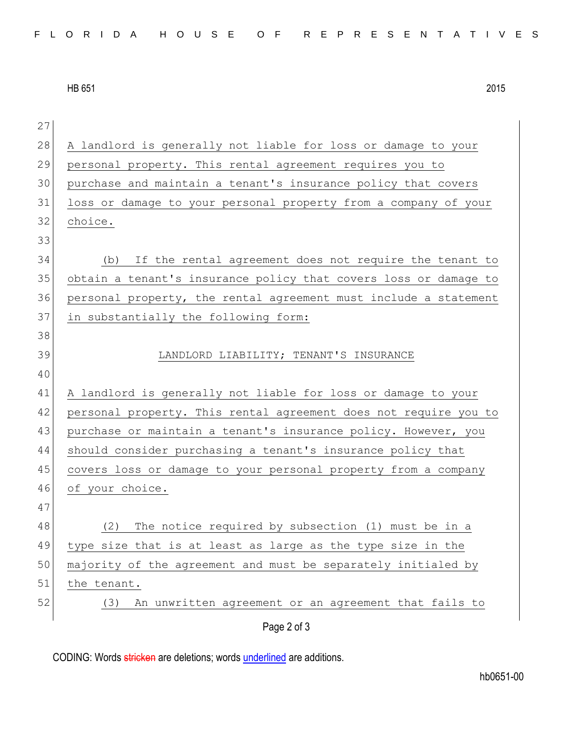HB 651 2015

| 27 |                                                                  |
|----|------------------------------------------------------------------|
| 28 | A landlord is generally not liable for loss or damage to your    |
| 29 | personal property. This rental agreement requires you to         |
| 30 | purchase and maintain a tenant's insurance policy that covers    |
| 31 | loss or damage to your personal property from a company of your  |
| 32 | choice.                                                          |
| 33 |                                                                  |
| 34 | If the rental agreement does not require the tenant to<br>(b)    |
| 35 | obtain a tenant's insurance policy that covers loss or damage to |
| 36 | personal property, the rental agreement must include a statement |
| 37 | in substantially the following form:                             |
| 38 |                                                                  |
| 39 | LANDLORD LIABILITY; TENANT'S INSURANCE                           |
| 40 |                                                                  |
| 41 | A landlord is generally not liable for loss or damage to your    |
| 42 | personal property. This rental agreement does not require you to |
| 43 | purchase or maintain a tenant's insurance policy. However, you   |
| 44 | should consider purchasing a tenant's insurance policy that      |
| 45 | covers loss or damage to your personal property from a company   |
| 46 | of your choice.                                                  |
| 47 |                                                                  |
| 48 | The notice required by subsection (1) must be in a<br>(2)        |
| 49 | type size that is at least as large as the type size in the      |
| 50 | majority of the agreement and must be separately initialed by    |
| 51 | the tenant.                                                      |
| 52 | An unwritten agreement or an agreement that fails to<br>(3)      |
|    | Page 2 of 3                                                      |

CODING: Words stricken are deletions; words underlined are additions.